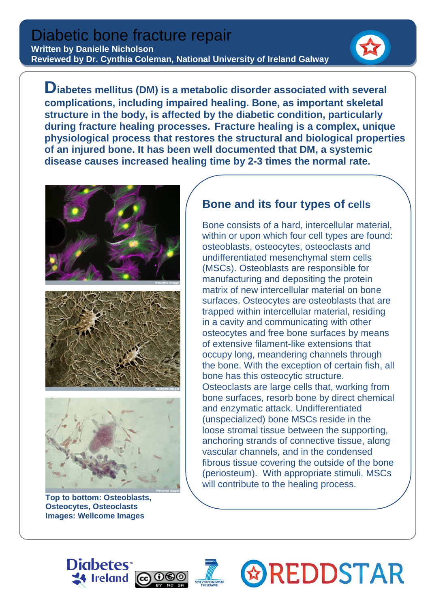

**Diabetes mellitus (DM) is a metabolic disorder associated with several complications, including impaired healing. Bone, as important skeletal structure in the body, is affected by the diabetic condition, particularly during fracture healing processes. Fracture healing is a complex, unique physiological process that restores the structural and biological properties of an injured bone. It has been well documented that DM, a systemic disease causes increased healing time by 2-3 times the normal rate.**







**Top to bottom: Osteoblasts, Osteocytes, Osteoclasts Images: Wellcome Images**

## **Bone and its four types of cells**

Bone consists of a hard, intercellular material, within or upon which four [cell](http://www.britannica.com/EBchecked/topic/101396/cell) types are found: [osteoblasts,](http://www.britannica.com/EBchecked/topic/434269/osteoblast) [osteocytes,](http://www.britannica.com/EBchecked/topic/434280/osteocyte) [osteoclasts](http://www.britannica.com/EBchecked/topic/434277/osteoclast) and undifferentiated [mesenchymal](http://www.britannica.com/EBchecked/topic/376591/mesenchyme) [stem cells](http://www.britannica.com/EBchecked/topic/565211/stem-cell) (MSCs). [Osteoblasts](http://www.britannica.com/EBchecked/topic/434269/osteoblast) are responsible for manufacturing and depositing the protein matrix of new intercellular material on bone surfaces. [Osteocytes](http://www.britannica.com/EBchecked/topic/434280/osteocyte) are osteoblasts that are trapped within intercellular material, residing in a cavity and communicating with other osteocytes and free bone surfaces by means of extensive filament-like extensions that occupy long, meandering channels through the bone. With the exception of certain fish, all bone has this osteocytic structure. [Osteoclasts](http://www.britannica.com/EBchecked/topic/434277/osteoclast) are large cells that, working from bone surfaces, resorb bone by direct chemical and enzymatic attack. Undifferentiated (unspecialized) bone MSCs reside in the loose [stromal](http://www.britannica.com/EBchecked/topic/132995/connective-tissue) tissue between the supporting, anchoring strands of connective tissue, along vascular channels, and in the condensed fibrous tissue covering the outside of the bone [\(periosteum\)](http://www.britannica.com/EBchecked/topic/451978/periosteum). With appropriate stimuli, MSCs will contribute to the healing process.